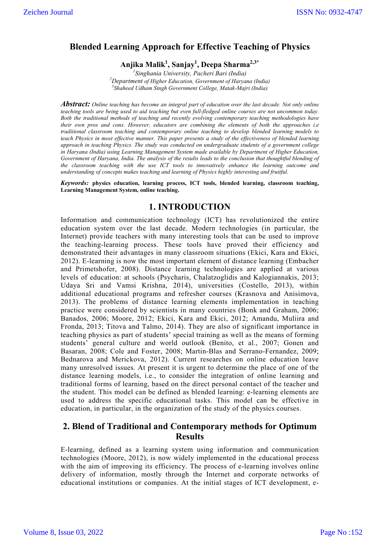# **Blended Learning Approach for Effective Teaching of Physics**

**Anjika Malik1 , Sanjay1 , Deepa Sharma2,3\***

*1 Singhania University, Pacheri Bari (India) <sup>2</sup> Department of Higher Education, Government of Haryana (India) <sup>3</sup> Shaheed Udham Singh Government College, Matak-Majri (India)*

*Abstract: Online teaching has become an integral part of education over the last decade. Not only online teaching tools are being used to aid teaching but even full-fledged online courses are not uncommon today. Both the traditional methods of teaching and recently evolving contemporary teaching methodologies have their own pros and cons. However, educators are combining the elements of both the approaches i.e traditional classroom teaching and contemporary online teaching to develop blended learning models to teach Physics in most effective manner. This paper presents a study of the effectiveness of blended learning approach in teaching Physics. The study was conducted on undergraduate students of a government college in Haryana (India) using Learning Management System made available by Department of Higher Education, Government of Haryana, India. The analysis of the results leads to the conclusion that thoughtful blending of the classroom teaching with the use ICT tools to innovatively enhance the learning outcome and understanding of concepts makes teaching and learning of Physics highly interesting and fruitful.* 

*Keywords:* **physics education, learning process, ICT tools, blended learning, classroom teaching, Learning Management System, online teaching.**

## **1. INTRODUCTION**

Information and communication technology (ICT) has revolutionized the entire education system over the last decade. Modern technologies (in particular, the Internet) provide teachers with many interesting tools that can be used to improve the teaching-learning process. These tools have proved their efficiency and demonstrated their advantages in many classroom situations (Ekici, Kara and Ekici, 2012). E-learning is now the most important element of distance learning (Embacher and Primetshofer, 2008). Distance learning technologies are applied at various levels of education: at schools (Psycharis, Chalatzoglidis and Kalogiannakis, 2013; Udaya Sri and Vamsi Krishna, 2014), universities (Costello, 2013), within additional educational programs and refresher courses (Krasnova and Anisimova, 2013). The problems of distance learning elements implementation in teaching practice were considered by scientists in many countries (Bonk and Graham, 2006; Banados, 2006; Moore, 2012; Ekici, Kara and Ekici, 2012; Amandu, Muliira and Fronda, 2013; Titova and Talmo, 2014). They are also of significant importance in teaching physics as part of students' special training as well as the means of forming students' general culture and world outlook (Benito, et al., 2007; Gonen and Basaran, 2008; Cole and Foster, 2008; Martin-Blas and Serrano-Fernandez, 2009; Bednarova and Merickova, 2012). Current researches on online education leave many unresolved issues. At present it is urgent to determine the place of one of the distance learning models, i.e., to consider the integration of online learning and traditional forms of learning, based on the direct personal contact of the teacher and the student. This model can be defined as blended learning: e-learning elements are used to address the specific educational tasks. This model can be effective in education, in particular, in the organization of the study of the physics courses.

## **2. Blend of Traditional and Contemporary methods for Optimum Results**

E-learning, defined as a learning system using information and communication technologies (Moore, 2012), is now widely implemented in the educational process with the aim of improving its efficiency. The process of e-learning involves online delivery of information, mostly through the Internet and corporate networks of educational institutions or companies. At the initial stages of ICT development, e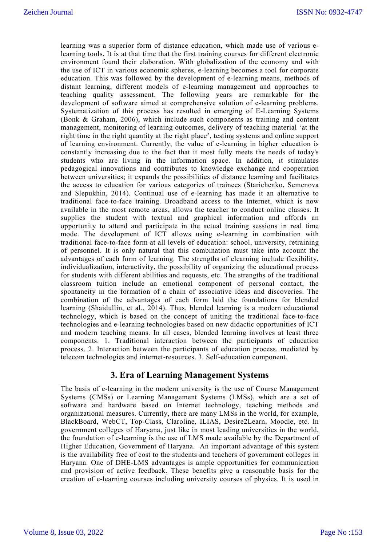learning was a superior form of distance education, which made use of various elearning tools. It is at that time that the first training courses for different electronic environment found their elaboration. With globalization of the economy and with the use of ICT in various economic spheres, e-learning becomes a tool for corporate education. This was followed by the development of e-learning means, methods of distant learning, different models of e-learning management and approaches to teaching quality assessment. The following years are remarkable for the development of software aimed at comprehensive solution of e-learning problems. Systematization of this process has resulted in emerging of E-Learning Systems (Bonk & Graham, 2006), which include such components as training and content management, monitoring of learning outcomes, delivery of teaching material 'at the right time in the right quantity at the right place', testing systems and online support of learning environment. Currently, the value of e-learning in higher education is constantly increasing due to the fact that it most fully meets the needs of today's students who are living in the information space. In addition, it stimulates pedagogical innovations and contributes to knowledge exchange and cooperation between universities; it expands the possibilities of distance learning and facilitates the access to education for various categories of trainees (Starichenko, Semenova and Slepukhin, 2014). Continual use of e-learning has made it an alternative to traditional face-to-face training. Broadband access to the Internet, which is now available in the most remote areas, allows the teacher to conduct online classes. It supplies the student with textual and graphical information and affords an opportunity to attend and participate in the actual training sessions in real time mode. The development of ICT allows using e-learning in combination with traditional face-to-face form at all levels of education: school, university, retraining of personnel. It is only natural that this combination must take into account the advantages of each form of learning. The strengths of elearning include flexibility, individualization, interactivity, the possibility of organizing the educational process for students with different abilities and requests, etc. The strengths of the traditional classroom tuition include an emotional component of personal contact, the spontaneity in the formation of a chain of associative ideas and discoveries. The combination of the advantages of each form laid the foundations for blended learning (Shaidullin, et al., 2014). Thus, blended learning is a modern educational technology, which is based on the concept of uniting the traditional face-to-face technologies and e-learning technologies based on new didactic opportunities of ICT and modern teaching means. In all cases, blended learning involves at least three components. 1. Traditional interaction between the participants of education process. 2. Interaction between the participants of education process, mediated by telecom technologies and internet-resources. 3. Self-education component.

## **3. Era of Learning Management Systems**

The basis of e-learning in the modern university is the use of Course Management Systems (CMSs) or Learning Management Systems (LMSs), which are a set of software and hardware based on Internet technology, teaching methods and organizational measures. Currently, there are many LMSs in the world, for example, BlackBoard, WebCT, Top-Class, Claroline, ILIAS, Desire2Learn, Moodle, etc. In government colleges of Haryana, just like in most leading universities in the world, the foundation of e-learning is the use of LMS made available by the Department of Higher Education, Government of Haryana. An important advantage of this system is the availability free of cost to the students and teachers of government colleges in Haryana. One of DHE-LMS advantages is ample opportunities for communication and provision of active feedback. These benefits give a reasonable basis for the creation of e-learning courses including university courses of physics. It is used in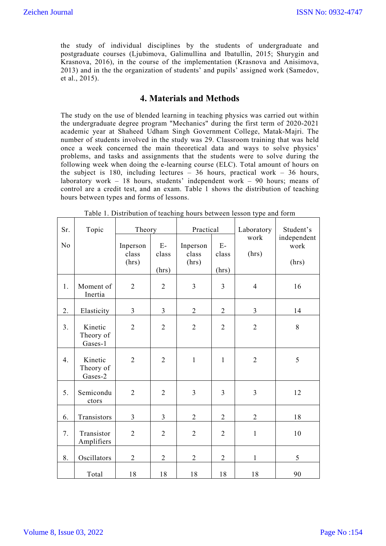the study of individual disciplines by the students of undergraduate and postgraduate courses (Ljubimova, Galimullina and Ibatullin, 2015; Shurygin and Krasnova, 2016), in the course of the implementation (Krasnova and Anisimova, 2013) and in the the organization of students' and pupils' assigned work (Samedov, et al., 2015).

## **4. Materials and Methods**

The study on the use of blended learning in teaching physics was carried out within the undergraduate degree program "Mechanics" during the first term of 2020-2021 academic year at Shaheed Udham Singh Government College, Matak-Majri. The number of students involved in the study was 29. Classroom training that was held once a week concerned the main theoretical data and ways to solve physics' problems, and tasks and assignments that the students were to solve during the following week when doing the e-learning course (ELC). Total amount of hours on the subject is 180, including lectures  $-36$  hours, practical work  $-36$  hours, laboratory work – 18 hours, students' independent work – 90 hours; means of control are a credit test, and an exam. Table 1 shows the distribution of teaching hours between types and forms of lessons.

| Sr. | Topic                           | Theory                     |                        | Practical                  |                        | Laboratory     | Student's                    |
|-----|---------------------------------|----------------------------|------------------------|----------------------------|------------------------|----------------|------------------------------|
| No  |                                 | Inperson<br>class<br>(hrs) | $E-$<br>class<br>(hrs) | Inperson<br>class<br>(hrs) | $E-$<br>class<br>(hrs) | work<br>(hrs)  | independent<br>work<br>(hrs) |
| 1.  | Moment of<br>Inertia            | $\overline{2}$             | $\overline{2}$         | $\overline{3}$             | $\overline{3}$         | $\overline{4}$ | 16                           |
| 2.  | Elasticity                      | 3                          | 3                      | $\overline{2}$             | $\overline{2}$         | 3              | 14                           |
| 3.  | Kinetic<br>Theory of<br>Gases-1 | $\overline{2}$             | $\overline{2}$         | $\overline{2}$             | $\overline{2}$         | $\overline{2}$ | 8                            |
| 4.  | Kinetic<br>Theory of<br>Gases-2 | $\overline{2}$             | $\overline{2}$         | $\mathbf{1}$               | $\mathbf 1$            | $\overline{2}$ | 5                            |
| 5.  | Semicondu<br>ctors              | $\overline{2}$             | $\overline{2}$         | $\overline{3}$             | $\overline{3}$         | $\overline{3}$ | 12                           |
| 6.  | Transistors                     | $\overline{3}$             | $\overline{3}$         | $\overline{2}$             | $\overline{2}$         | $\overline{2}$ | 18                           |
| 7.  | Transistor<br>Amplifiers        | $\overline{2}$             | $\overline{2}$         | $\overline{2}$             | $\overline{2}$         | $\mathbf{1}$   | 10                           |
| 8.  | Oscillators                     | $\overline{2}$             | $\overline{2}$         | $\overline{2}$             | $\overline{2}$         | $\mathbf{1}$   | 5                            |
|     | Total                           | 18                         | 18                     | 18                         | 18                     | 18             | 90                           |

Table 1. Distribution of teaching hours between lesson type and form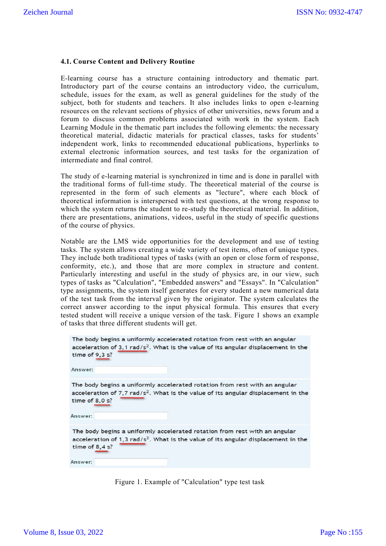#### **4.1. Course Content and Delivery Routine**

E-learning course has a structure containing introductory and thematic part. Introductory part of the course contains an introductory video, the curriculum, schedule, issues for the exam, as well as general guidelines for the study of the subject, both for students and teachers. It also includes links to open e resources on the relevant sections of physics of other universities, news forum and a forum to discuss common problems associated with work in the system. Each Learning Module in the thematic part includes the following elements: the necessary theoretical material, didactic materials for practical classes, tasks for students' independent work, links to recommended educational publications, hyperlinks to external electronic information sources, and test tasks for the organization of intermediate and final control. learning course has a structure containing introductory and thematic part.<br>troductory part of the course contains an introductory video, the curriculum,<br>hedule, issues for the exam, as well as general guidelines for the st E-learning course has a structure containing introductory and thematic part.<br>Introductory part of the course, contains an introductory video, the curriculum,<br>Introductedule, issues for the exam, as well as general guideli Siehen Journal<br>
4.1. Course Content and Delivery Routine<br>
E-learning contrels out that a student<br>
E-learning course contains in introductory video, the curiculum,<br>
schedule, is<br>suss for the exam as well as general guidelin

The study of e-learning material is synchronized in time and is done in parallel with The study of e-learning material is synchronized in time and is done in parallel with<br>the traditional forms of full-time study. The theoretical material of the course is represented in the form of such elements as "lecture", where each block of theoretical information is interspersed with test questions, at the wrong response to which the system returns the student to re-study the theoretical material. In addition, there are presentations, animations, videos, useful in the study of specific questions of the course of physics. resources on the relevant sections of physics of other universities, news forum and a forum to discuss common problems associated with work in the system. Each Learning Module in the thematic part includes the following el

Notable are the LMS wide opportunities for the development and use of testing tasks. The system allows creating a wide variety of test items, often of unique type They include both traditional types of tasks (with an open or close form of response, conformity, etc.), and those that are more complex in structure and content. Particularly interesting and useful in the study of physics are, in our view, such types of tasks as "Calculation", "Embedded answers" and "Essays". In "Calculation" type assignments, the system itself generates for every student a new numerical data of the test task from the interval given by the originator. The system calculates the correct answer according to the input physical formula. This ensures that every tested student will receive a unique version of the task. Figure 1 shows an example of tasks that three different students will get.

| The body begins a uniformly accelerated rotation from rest with an angular<br>acceleration of 3,1 rad/ $s^2$ . What is the value of its angular displacement in the<br>time of $9,3$ s?<br>Answer: |
|----------------------------------------------------------------------------------------------------------------------------------------------------------------------------------------------------|
| The body begins a uniformly accelerated rotation from rest with an angular<br>acceleration of 7,7 $rad/s2$ . What is the value of its angular displacement in the<br>time of $8.0 s$ ?<br>Answer:  |
| The body begins a uniformly accelerated rotation from rest with an angular<br>acceleration of 1,3 $rad/s2$ . What is the value of its angular displacement in the<br>time of $8,4$ s?<br>Answer:   |

Figure 1. Example of "Calculation" type test task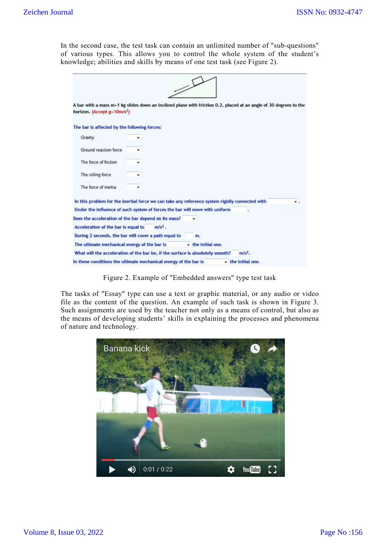| horizon. (Accept g=10m/s <sup>2</sup> )                                        | A bar with a mass m=1 kg slides down an inclined plane with friction 0.2, placed at an angle of 30 degrees to the |
|--------------------------------------------------------------------------------|-------------------------------------------------------------------------------------------------------------------|
| The bar is affected by the following forces:                                   |                                                                                                                   |
| Gravity                                                                        |                                                                                                                   |
| Ground reaction force                                                          |                                                                                                                   |
| The force of friction                                                          |                                                                                                                   |
|                                                                                |                                                                                                                   |
| The rolling force                                                              |                                                                                                                   |
| The force of inertia                                                           |                                                                                                                   |
|                                                                                | In this problem for the inertial force we can take any reference system rigidly connected with                    |
| Under the influence of such system of forces the bar will move with uniform    |                                                                                                                   |
| Does the acceleration of the bar depend on its mass?                           |                                                                                                                   |
| $m/s2$ .<br>Acceleration of the bar is equal to                                |                                                                                                                   |
| During 2 seconds, the bar will cover a path equal to                           | m.                                                                                                                |
| The ultimate mechanical energy of the bar is                                   | - the initial one.                                                                                                |
| What will the acceleration of the bar be, if the surface is absolutely smooth? | $m/s2$ .                                                                                                          |
| In these conditions the ultimate mechanical energy of the bar is               | - the initial one.                                                                                                |
|                                                                                | Figure 2. Example of "Embedded answers" type test task                                                            |

Figure 2. Example of "Embedded answers" type test task

The tasks of "Essay" type can use a text or graphic material, or any audio or video file as the content of the question. An example of such task is shown in Figure 3. Such assignments are used by the teacher not only as a means of control, but also as the means of developing students' skills in explaining the processes and phenomena of nature and technology.

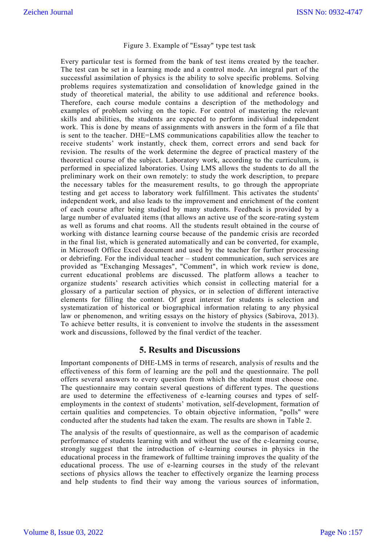#### Figure 3. Example of "Essay" type test task

Every particular test is formed from the bank of test items created by the teacher. The test can be set in a learning mode and a control mode. An integral part of the successful assimilation of physics is the ability to solve specific problems. Solving problems requires systematization and consolidation of knowledge gained in the study of theoretical material, the ability to use additional and reference books. Therefore, each course module contains a description of the methodology and examples of problem solving on the topic. For control of mastering the relevant skills and abilities, the students are expected to perform individual independent work. This is done by means of assignments with answers in the form of a file that is sent to the teacher. DHE=LMS communications capabilities allow the teacher to receive students' work instantly, check them, correct errors and send back for revision. The results of the work determine the degree of practical mastery of the theoretical course of the subject. Laboratory work, according to the curriculum, is performed in specialized laboratories. Using LMS allows the students to do all the preliminary work on their own remotely: to study the work description, to prepare the necessary tables for the measurement results, to go through the appropriate testing and get access to laboratory work fulfillment. This activates the students' independent work, and also leads to the improvement and enrichment of the content of each course after being studied by many students. Feedback is provided by a large number of evaluated items (that allows an active use of the score-rating system as well as forums and chat rooms. All the students result obtained in the course of working with distance learning course because of the pandemic crisis are recorded in the final list, which is generated automatically and can be converted, for example, in Microsoft Office Excel document and used by the teacher for further processing or debriefing. For the individual teacher – student communication, such services are provided as "Exchanging Messages", "Comment", in which work review is done, current educational problems are discussed. The platform allows a teacher to organize students' research activities which consist in collecting material for a glossary of a particular section of physics, or in selection of different interactive elements for filling the content. Of great interest for students is selection and systematization of historical or biographical information relating to any physical law or phenomenon, and writing essays on the history of physics (Sabirova, 2013). To achieve better results, it is convenient to involve the students in the assessment work and discussions, followed by the final verdict of the teacher.

### **5. Results and Discussions**

Important components of DHE-LMS in terms of research, analysis of results and the effectiveness of this form of learning are the poll and the questionnaire. The poll offers several answers to every question from which the student must choose one. The questionnaire may contain several questions of different types. The questions are used to determine the effectiveness of e-learning courses and types of selfemployments in the context of students' motivation, self-development, formation of certain qualities and competencies. To obtain objective information, "polls" were conducted after the students had taken the exam. The results are shown in Table 2.

The analysis of the results of questionnaire, as well as the comparison of academic performance of students learning with and without the use of the e-learning course, strongly suggest that the introduction of e-learning courses in physics in the educational process in the framework of fulltime training improves the quality of the educational process. The use of e-learning courses in the study of the relevant sections of physics allows the teacher to effectively organize the learning process and help students to find their way among the various sources of information,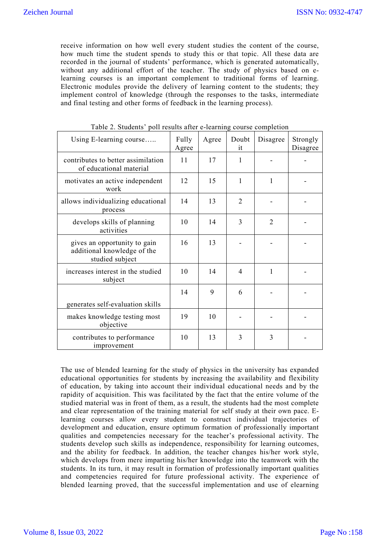receive information on how well every student studies the content of the course, how much time the student spends to study this or that topic. All these data are recorded in the journal of students' performance, which is generated automatically, without any additional effort of the teacher. The study of physics based on elearning courses is an important complement to traditional forms of learning. Electronic modules provide the delivery of learning content to the students; they implement control of knowledge (through the responses to the tasks, intermediate and final testing and other forms of feedback in the learning process).

| Using E-learning course                                                        | Fully<br>Agree | Agree | Doubt<br>it    | Disagree       | Strongly<br>Disagree |
|--------------------------------------------------------------------------------|----------------|-------|----------------|----------------|----------------------|
| contributes to better assimilation<br>of educational material                  | 11             | 17    | 1              |                |                      |
| motivates an active independent<br>work                                        | 12             | 15    | 1              | 1              |                      |
| allows individualizing educational<br>process                                  | 14             | 13    | $\overline{2}$ |                |                      |
| develops skills of planning<br>activities                                      | 10             | 14    | 3              | $\overline{2}$ |                      |
| gives an opportunity to gain<br>additional knowledge of the<br>studied subject | 16             | 13    |                |                |                      |
| increases interest in the studied<br>subject                                   | 10             | 14    | 4              | 1              |                      |
|                                                                                | 14             | 9     | 6              |                |                      |
| generates self-evaluation skills                                               |                |       |                |                |                      |
| makes knowledge testing most<br>objective                                      | 19             | 10    |                |                |                      |
| contributes to performance<br>improvement                                      | 10             | 13    | 3              | 3              |                      |

Table 2. Students' poll results after e-learning course completion

The use of blended learning for the study of physics in the university has expanded educational opportunities for students by increasing the availability and flexibility of education, by taking into account their individual educational needs and by the rapidity of acquisition. This was facilitated by the fact that the entire volume of the studied material was in front of them, as a result, the students had the most complete and clear representation of the training material for self study at their own pace. Elearning courses allow every student to construct individual trajectories of development and education, ensure optimum formation of professionally important qualities and competencies necessary for the teacher's professional activity. The students develop such skills as independence, responsibility for learning outcomes, and the ability for feedback. In addition, the teacher changes his/her work style, which develops from mere imparting his/her knowledge into the teamwork with the students. In its turn, it may result in formation of professionally important qualities and competencies required for future professional activity. The experience of blended learning proved, that the successful implementation and use of elearning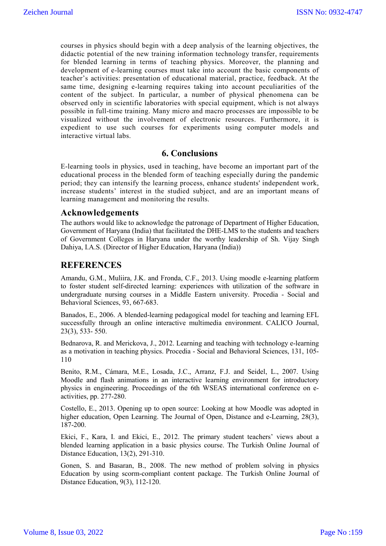courses in physics should begin with a deep analysis of the learning objectives, the didactic potential of the new training information technology transfer, requirements for blended learning in terms of teaching physics. Moreover, the planning and development of e-learning courses must take into account the basic components of teacher's activities: presentation of educational material, practice, feedback. At the same time, designing e-learning requires taking into account peculiarities of the content of the subject. In particular, a number of physical phenomena can be observed only in scientific laboratories with special equipment, which is not always possible in full-time training. Many micro and macro processes are impossible to be visualized without the involvement of electronic resources. Furthermore, it is expedient to use such courses for experiments using computer models and interactive virtual labs.

### **6. Conclusions**

E-learning tools in physics, used in teaching, have become an important part of the educational process in the blended form of teaching especially during the pandemic period; they can intensify the learning process, enhance students' independent work, increase students' interest in the studied subject, and are an important means of learning management and monitoring the results.

### **Acknowledgements**

The authors would like to acknowledge the patronage of Department of Higher Education, Government of Haryana (India) that facilitated the DHE-LMS to the students and teachers of Government Colleges in Haryana under the worthy leadership of Sh. Vijay Singh Dahiya, I.A.S. (Director of Higher Education, Haryana (India))

### **REFERENCES**

Amandu, G.M., Muliira, J.K. and Fronda, C.F., 2013. Using moodle e-learning platform to foster student self-directed learning: experiences with utilization of the software in undergraduate nursing courses in a Middle Eastern university. Procedia - Social and Behavioral Sciences, 93, 667-683.

Banados, E., 2006. A blended-learning pedagogical model for teaching and learning EFL successfully through an online interactive multimedia environment. CALICO Journal, 23(3), 533- 550.

Bednarova, R. and Merickova, J., 2012. Learning and teaching with technology e-learning as a motivation in teaching physics. Procedia - Social and Behavioral Sciences, 131, 105- 110

Benito, R.M., Cámara, M.E., Losada, J.C., Arranz, F.J. and Seidel, L., 2007. Using Moodle and flash animations in an interactive learning environment for introductory physics in engineering. Proceedings of the 6th WSEAS international conference on eactivities, pp. 277-280.

Costello, E., 2013. Opening up to open source: Looking at how Moodle was adopted in higher education, Open Learning. The Journal of Open, Distance and e-Learning, 28(3), 187-200.

Ekici, F., Kara, I. and Ekici, E., 2012. The primary student teachers' views about a blended learning application in a basic physics course. The Turkish Online Journal of Distance Education, 13(2), 291-310.

Gonen, S. and Basaran, B., 2008. The new method of problem solving in physics Education by using scorm-compliant content package. The Turkish Online Journal of Distance Education, 9(3), 112-120.